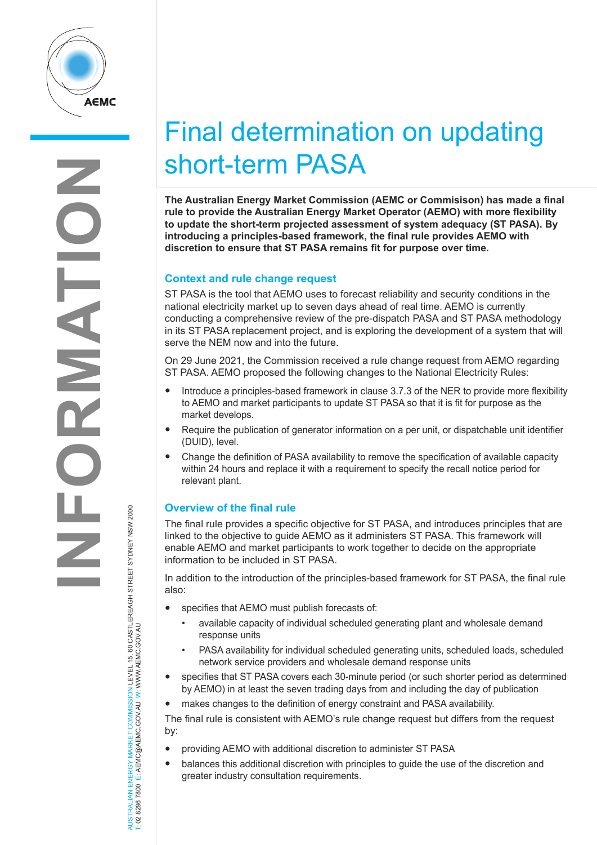

# Final determination on updating short-term PASA

**The Australian Energy Market Commission (AEMC or Commisison) has made a final rule to provide the Australian Energy Market Operator (AEMO) with more flexibility to update the short-term projected assessment of system adequacy (ST PASA). By introducing a principles-based framework, the final rule provides AEMO with discretion to ensure that ST PASA remains fit for purpose over time.** 

## **Context and rule change request**

ST PASA is the tool that AEMO uses to forecast reliability and security conditions in the national electricity market up to seven days ahead of real time. AEMO is currently conducting a comprehensive review of the pre-dispatch PASA and ST PASA methodology in its ST PASA replacement project, and is exploring the development of a system that will serve the NEM now and into the future.

On 29 June 2021, the Commission received a rule change request from AEMO regarding ST PASA. AEMO proposed the following changes to the National Electricity Rules:

- Introduce a principles-based framework in clause 3.7.3 of the NER to provide more flexibility to AEMO and market participants to update ST PASA so that it is fit for purpose as the market develops.
- Require the publication of generator information on a per unit, or dispatchable unit identifier (DUID), level.
- Change the definition of PASA availability to remove the specification of available capacity within 24 hours and replace it with a requirement to specify the recall notice period for relevant plant.

## **Overview of the final rule**

The final rule provides a specific objective for ST PASA, and introduces principles that are linked to the objective to guide AEMO as it administers ST PASA. This framework will enable AEMO and market participants to work together to decide on the appropriate information to be included in ST PASA.

In addition to the introduction of the principles-based framework for ST PASA, the final rule also:

- specifies that AEMO must publish forecasts of:
	- available capacity of individual scheduled generating plant and wholesale demand response units
	- PASA availability for individual scheduled generating units, scheduled loads, scheduled network service providers and wholesale demand response units
- specifies that ST PASA covers each 30-minute period (or such shorter period as determined by AEMO) in at least the seven trading days from and including the day of publication
- makes changes to the definition of energy constraint and PASA availability.

The final rule is consistent with AEMO's rule change request but differs from the request by:

- providing AEMO with additional discretion to administer ST PASA
- balances this additional discretion with principles to guide the use of the discretion and greater industry consultation requirements.

AUSTRALIAN ENERGY MARKET COMMISSION LEVEL 15, 60 CASTLEREAGH STREET SYDNEY NSW 2000<br>T: 02 8296 7800 E: AEMC@AEMC.GOV.AU W: WWW.AEMC.GOV.AU AUSTRALIAN ENERGY MARKET COMMISSION LEVEL 15, 60 CASTLEREAGH STREET SYDNEY NSW 2000 T: 02 8296 7800 E: AEMC@AEMC.GOV.AU W: WWW.AEMC.GOV.AU